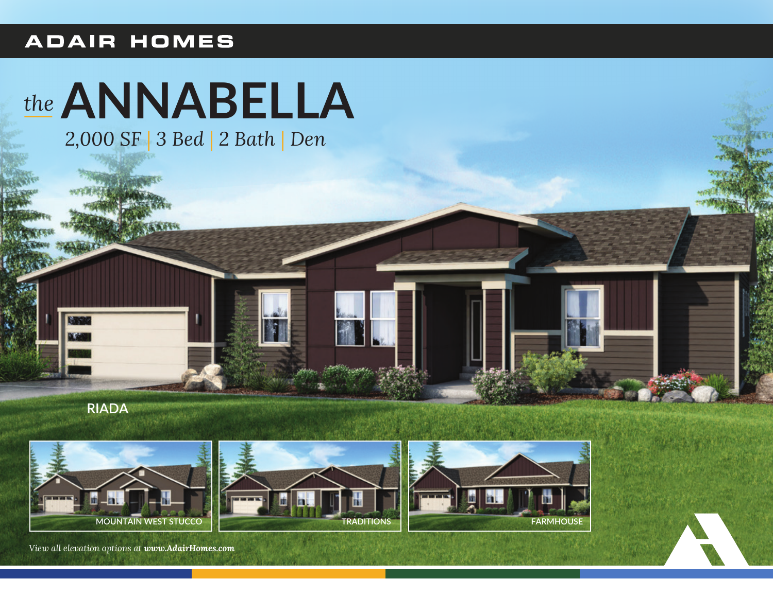## **ADAIR HOMES**



**RIADA** 



View all elevation options at www.AdairHomes.com

**TRADITIONS** 

**FARMHOUSE**